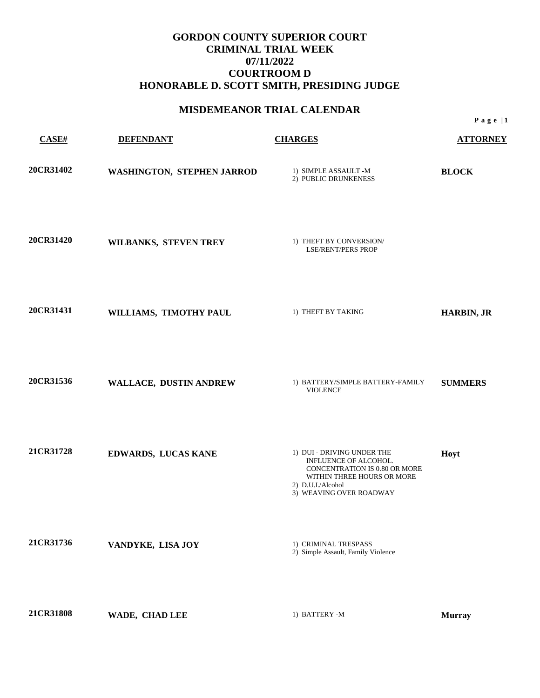## **MISDEMEANOR TRIAL CALENDAR**

| CASE#     | <b>DEFENDANT</b>           | <b>CHARGES</b>                                                                                                                                                     | <b>ATTORNEY</b>   |
|-----------|----------------------------|--------------------------------------------------------------------------------------------------------------------------------------------------------------------|-------------------|
| 20CR31402 | WASHINGTON, STEPHEN JARROD | 1) SIMPLE ASSAULT -M<br>2) PUBLIC DRUNKENESS                                                                                                                       | <b>BLOCK</b>      |
| 20CR31420 | WILBANKS, STEVEN TREY      | 1) THEFT BY CONVERSION/<br><b>LSE/RENT/PERS PROP</b>                                                                                                               |                   |
| 20CR31431 | WILLIAMS, TIMOTHY PAUL     | 1) THEFT BY TAKING                                                                                                                                                 | <b>HARBIN, JR</b> |
| 20CR31536 | WALLACE, DUSTIN ANDREW     | 1) BATTERY/SIMPLE BATTERY-FAMILY<br><b>VIOLENCE</b>                                                                                                                | <b>SUMMERS</b>    |
| 21CR31728 | EDWARDS, LUCAS KANE        | 1) DUI - DRIVING UNDER THE<br>INFLUENCE OF ALCOHOL.<br>CONCENTRATION IS 0.80 OR MORE<br>WITHIN THREE HOURS OR MORE<br>2) D.U.I./Alcohol<br>3) WEAVING OVER ROADWAY | Hoyt              |
| 21CR31736 | VANDYKE, LISA JOY          | 1) CRIMINAL TRESPASS<br>2) Simple Assault, Family Violence                                                                                                         |                   |
| 21CR31808 | WADE, CHAD LEE             | 1) BATTERY -M                                                                                                                                                      | <b>Murray</b>     |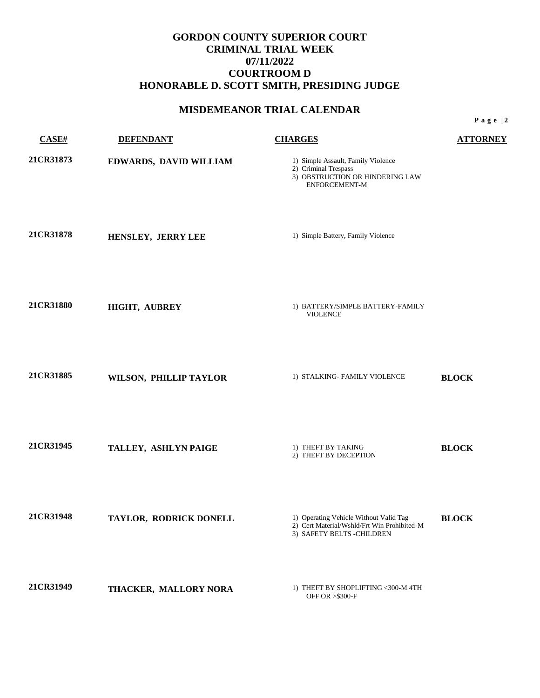## **MISDEMEANOR TRIAL CALENDAR**

| <b>CASE#</b> | <b>DEFENDANT</b>       | <b>CHARGES</b>                                                                                                     | <b>ATTORNEY</b> |
|--------------|------------------------|--------------------------------------------------------------------------------------------------------------------|-----------------|
| 21CR31873    | EDWARDS, DAVID WILLIAM | 1) Simple Assault, Family Violence<br>2) Criminal Trespass<br>3) OBSTRUCTION OR HINDERING LAW<br>ENFORCEMENT-M     |                 |
| 21CR31878    | HENSLEY, JERRY LEE     | 1) Simple Battery, Family Violence                                                                                 |                 |
| 21CR31880    | HIGHT, AUBREY          | 1) BATTERY/SIMPLE BATTERY-FAMILY<br><b>VIOLENCE</b>                                                                |                 |
| 21CR31885    | WILSON, PHILLIP TAYLOR | 1) STALKING- FAMILY VIOLENCE                                                                                       | <b>BLOCK</b>    |
| 21CR31945    | TALLEY, ASHLYN PAIGE   | 1) THEFT BY TAKING<br>2) THEFT BY DECEPTION                                                                        | <b>BLOCK</b>    |
| 21CR31948    | TAYLOR, RODRICK DONELL | 1) Operating Vehicle Without Valid Tag<br>2) Cert Material/Wshld/Frt Win Prohibited-M<br>3) SAFETY BELTS -CHILDREN | <b>BLOCK</b>    |
| 21CR31949    | THACKER, MALLORY NORA  | 1) THEFT BY SHOPLIFTING <300-M 4TH<br>OFF OR > \$300-F                                                             |                 |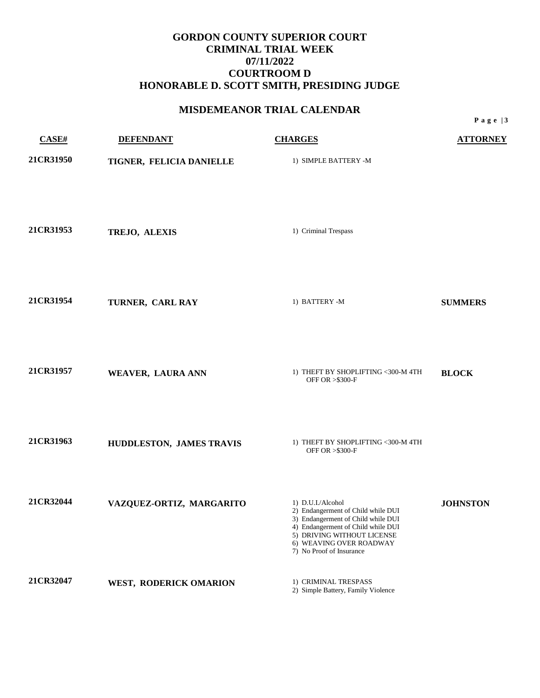## **MISDEMEANOR TRIAL CALENDAR**

| CASE#     | <b>DEFENDANT</b>         | <b>CHARGES</b>                                                                                                                                                                                                           | <b>ATTORNEY</b> |
|-----------|--------------------------|--------------------------------------------------------------------------------------------------------------------------------------------------------------------------------------------------------------------------|-----------------|
| 21CR31950 | TIGNER, FELICIA DANIELLE | 1) SIMPLE BATTERY -M                                                                                                                                                                                                     |                 |
| 21CR31953 | TREJO, ALEXIS            | 1) Criminal Trespass                                                                                                                                                                                                     |                 |
| 21CR31954 | TURNER, CARL RAY         | 1) BATTERY -M                                                                                                                                                                                                            | <b>SUMMERS</b>  |
| 21CR31957 | WEAVER, LAURA ANN        | 1) THEFT BY SHOPLIFTING <300-M 4TH<br>OFF OR > \$300-F                                                                                                                                                                   | <b>BLOCK</b>    |
| 21CR31963 | HUDDLESTON, JAMES TRAVIS | 1) THEFT BY SHOPLIFTING <300-M 4TH<br>OFF OR > \$300-F                                                                                                                                                                   |                 |
| 21CR32044 | VAZQUEZ-ORTIZ, MARGARITO | 1) D.U.I./Alcohol<br>2) Endangerment of Child while DUI<br>3) Endangerment of Child while DUI<br>4) Endangerment of Child while DUI<br>5) DRIVING WITHOUT LICENSE<br>6) WEAVING OVER ROADWAY<br>7) No Proof of Insurance | <b>JOHNSTON</b> |
| 21CR32047 | WEST, RODERICK OMARION   | 1) CRIMINAL TRESPASS<br>2) Simple Battery, Family Violence                                                                                                                                                               |                 |